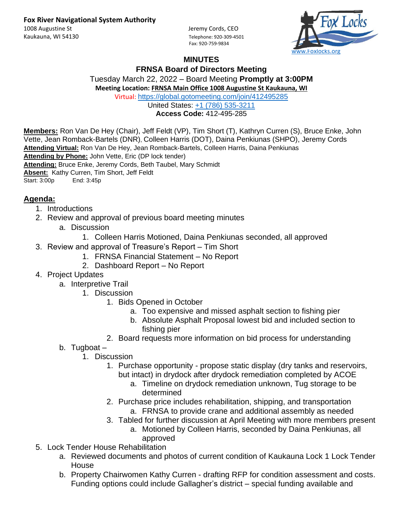Kaukauna, WI 54130 Telephone: 920-309-4501

1008 Augustine St **Jeremy Cords**, CEO Fax: 920-759-9834



## **MINUTES**

**FRNSA Board of Directors Meeting**

Tuesday March 22, 2022 – Board Meeting **Promptly at 3:00PM**

**Meeting Location: FRNSA Main Office 1008 Augustine St Kaukauna, WI**

Virtual: <https://global.gotomeeting.com/join/412495285>

United States: [+1 \(786\) 535-3211](tel:+17865353211,,412495285)

**Access Code:** 412-495-285

**Members:** Ron Van De Hey (Chair), Jeff Feldt (VP), Tim Short (T), Kathryn Curren (S), Bruce Enke, John Vette, Jean Romback-Bartels (DNR), Colleen Harris (DOT), Daina Penkiunas (SHPO), Jeremy Cords **Attending Virtual:** Ron Van De Hey, Jean Romback-Bartels, Colleen Harris, Daina Penkiunas **Attending by Phone:** John Vette, Eric (DP lock tender) **Attending:** Bruce Enke, Jeremy Cords, Beth Taubel, Mary Schmidt **Absent:** Kathy Curren, Tim Short, Jeff Feldt

Start: 3:00p End: 3:45p

## **Agenda:**

- 1. Introductions
- 2. Review and approval of previous board meeting minutes
	- a. Discussion
		- 1. Colleen Harris Motioned, Daina Penkiunas seconded, all approved
- 3. Review and approval of Treasure's Report Tim Short
	- 1. FRNSA Financial Statement No Report
	- 2. Dashboard Report No Report
- 4. Project Updates
	- a. Interpretive Trail
		- 1. Discussion
			- 1. Bids Opened in October
				- a. Too expensive and missed asphalt section to fishing pier
				- b. Absolute Asphalt Proposal lowest bid and included section to fishing pier
			- 2. Board requests more information on bid process for understanding
	- b. Tugboat
		- 1. Discussion
			- 1. Purchase opportunity propose static display (dry tanks and reservoirs, but intact) in drydock after drydock remediation completed by ACOE
				- a. Timeline on drydock remediation unknown, Tug storage to be determined
			- 2. Purchase price includes rehabilitation, shipping, and transportation a. FRNSA to provide crane and additional assembly as needed
			- 3. Tabled for further discussion at April Meeting with more members present
				- a. Motioned by Colleen Harris, seconded by Daina Penkiunas, all approved
- 5. Lock Tender House Rehabilitation
	- a. Reviewed documents and photos of current condition of Kaukauna Lock 1 Lock Tender House
	- b. Property Chairwomen Kathy Curren drafting RFP for condition assessment and costs. Funding options could include Gallagher's district – special funding available and